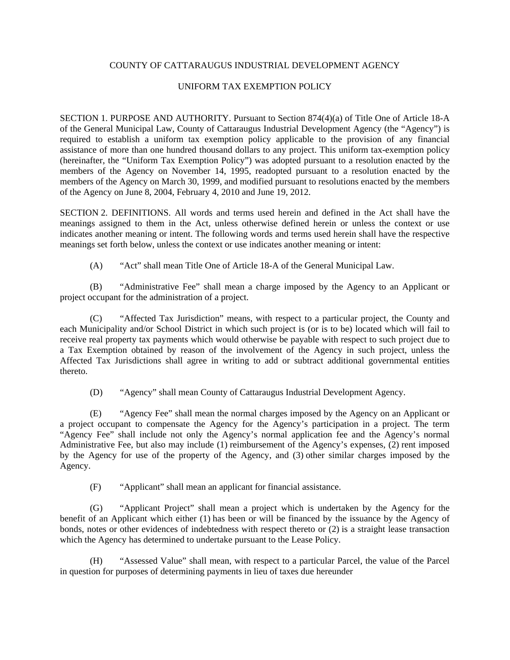## COUNTY OF CATTARAUGUS INDUSTRIAL DEVELOPMENT AGENCY

## UNIFORM TAX EXEMPTION POLICY

SECTION 1. PURPOSE AND AUTHORITY. Pursuant to Section 874(4)(a) of Title One of Article 18-A of the General Municipal Law, County of Cattaraugus Industrial Development Agency (the "Agency") is required to establish a uniform tax exemption policy applicable to the provision of any financial assistance of more than one hundred thousand dollars to any project. This uniform tax-exemption policy (hereinafter, the "Uniform Tax Exemption Policy") was adopted pursuant to a resolution enacted by the members of the Agency on November 14, 1995, readopted pursuant to a resolution enacted by the members of the Agency on March 30, 1999, and modified pursuant to resolutions enacted by the members of the Agency on June 8, 2004, February 4, 2010 and June 19, 2012.

SECTION 2. DEFINITIONS. All words and terms used herein and defined in the Act shall have the meanings assigned to them in the Act, unless otherwise defined herein or unless the context or use indicates another meaning or intent. The following words and terms used herein shall have the respective meanings set forth below, unless the context or use indicates another meaning or intent:

(A) "Act" shall mean Title One of Article 18-A of the General Municipal Law.

(B) "Administrative Fee" shall mean a charge imposed by the Agency to an Applicant or project occupant for the administration of a project.

(C) "Affected Tax Jurisdiction" means, with respect to a particular project, the County and each Municipality and/or School District in which such project is (or is to be) located which will fail to receive real property tax payments which would otherwise be payable with respect to such project due to a Tax Exemption obtained by reason of the involvement of the Agency in such project, unless the Affected Tax Jurisdictions shall agree in writing to add or subtract additional governmental entities thereto.

(D) "Agency" shall mean County of Cattaraugus Industrial Development Agency.

(E) "Agency Fee" shall mean the normal charges imposed by the Agency on an Applicant or a project occupant to compensate the Agency for the Agency's participation in a project. The term "Agency Fee" shall include not only the Agency's normal application fee and the Agency's normal Administrative Fee, but also may include (1) reimbursement of the Agency's expenses, (2) rent imposed by the Agency for use of the property of the Agency, and (3) other similar charges imposed by the Agency.

(F) "Applicant" shall mean an applicant for financial assistance.

(G) "Applicant Project" shall mean a project which is undertaken by the Agency for the benefit of an Applicant which either (1) has been or will be financed by the issuance by the Agency of bonds, notes or other evidences of indebtedness with respect thereto or (2) is a straight lease transaction which the Agency has determined to undertake pursuant to the Lease Policy.

(H) "Assessed Value" shall mean, with respect to a particular Parcel, the value of the Parcel in question for purposes of determining payments in lieu of taxes due hereunder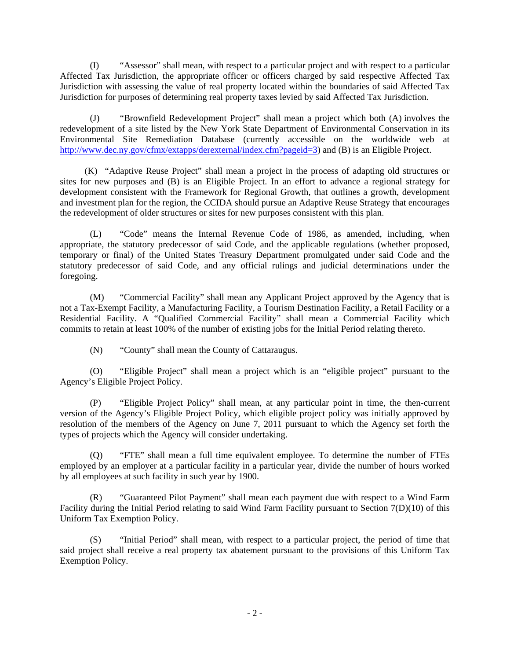(I) "Assessor" shall mean, with respect to a particular project and with respect to a particular Affected Tax Jurisdiction, the appropriate officer or officers charged by said respective Affected Tax Jurisdiction with assessing the value of real property located within the boundaries of said Affected Tax Jurisdiction for purposes of determining real property taxes levied by said Affected Tax Jurisdiction.

(J) "Brownfield Redevelopment Project" shall mean a project which both (A) involves the redevelopment of a site listed by the New York State Department of Environmental Conservation in its Environmental Site Remediation Database (currently accessible on the worldwide web at http://www.dec.ny.gov/cfmx/extapps/derexternal/index.cfm?pageid=3) and (B) is an Eligible Project.

 (K) "Adaptive Reuse Project" shall mean a project in the process of adapting old structures or sites for new purposes and (B) is an Eligible Project. In an effort to advance a regional strategy for development consistent with the Framework for Regional Growth, that outlines a growth, development and investment plan for the region, the CCIDA should pursue an Adaptive Reuse Strategy that encourages the redevelopment of older structures or sites for new purposes consistent with this plan.

(L) "Code" means the Internal Revenue Code of 1986, as amended, including, when appropriate, the statutory predecessor of said Code, and the applicable regulations (whether proposed, temporary or final) of the United States Treasury Department promulgated under said Code and the statutory predecessor of said Code, and any official rulings and judicial determinations under the foregoing.

(M) "Commercial Facility" shall mean any Applicant Project approved by the Agency that is not a Tax-Exempt Facility, a Manufacturing Facility, a Tourism Destination Facility, a Retail Facility or a Residential Facility. A "Qualified Commercial Facility" shall mean a Commercial Facility which commits to retain at least 100% of the number of existing jobs for the Initial Period relating thereto.

(N) "County" shall mean the County of Cattaraugus.

(O) "Eligible Project" shall mean a project which is an "eligible project" pursuant to the Agency's Eligible Project Policy.

(P) "Eligible Project Policy" shall mean, at any particular point in time, the then-current version of the Agency's Eligible Project Policy, which eligible project policy was initially approved by resolution of the members of the Agency on June 7, 2011 pursuant to which the Agency set forth the types of projects which the Agency will consider undertaking.

(Q) "FTE" shall mean a full time equivalent employee. To determine the number of FTEs employed by an employer at a particular facility in a particular year, divide the number of hours worked by all employees at such facility in such year by 1900.

(R) "Guaranteed Pilot Payment" shall mean each payment due with respect to a Wind Farm Facility during the Initial Period relating to said Wind Farm Facility pursuant to Section 7(D)(10) of this Uniform Tax Exemption Policy.

(S) "Initial Period" shall mean, with respect to a particular project, the period of time that said project shall receive a real property tax abatement pursuant to the provisions of this Uniform Tax Exemption Policy.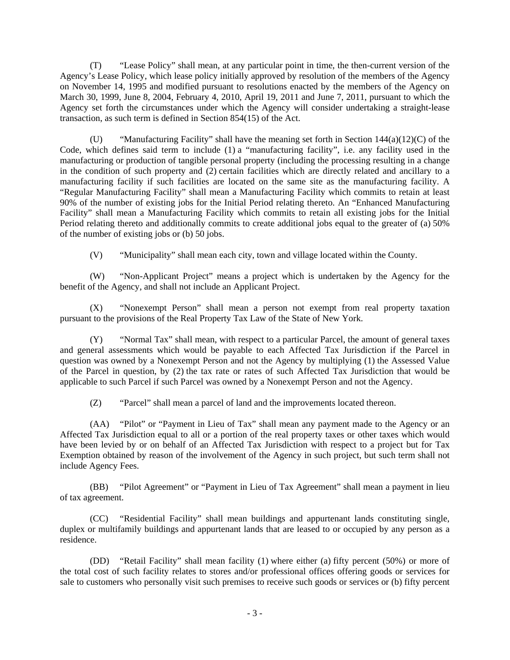(T) "Lease Policy" shall mean, at any particular point in time, the then-current version of the Agency's Lease Policy, which lease policy initially approved by resolution of the members of the Agency on November 14, 1995 and modified pursuant to resolutions enacted by the members of the Agency on March 30, 1999, June 8, 2004, February 4, 2010, April 19, 2011 and June 7, 2011, pursuant to which the Agency set forth the circumstances under which the Agency will consider undertaking a straight-lease transaction, as such term is defined in Section 854(15) of the Act.

(U) "Manufacturing Facility" shall have the meaning set forth in Section 144(a)(12)(C) of the Code, which defines said term to include (1) a "manufacturing facility", i.e. any facility used in the manufacturing or production of tangible personal property (including the processing resulting in a change in the condition of such property and (2) certain facilities which are directly related and ancillary to a manufacturing facility if such facilities are located on the same site as the manufacturing facility. A "Regular Manufacturing Facility" shall mean a Manufacturing Facility which commits to retain at least 90% of the number of existing jobs for the Initial Period relating thereto. An "Enhanced Manufacturing Facility" shall mean a Manufacturing Facility which commits to retain all existing jobs for the Initial Period relating thereto and additionally commits to create additional jobs equal to the greater of (a) 50% of the number of existing jobs or (b) 50 jobs.

(V) "Municipality" shall mean each city, town and village located within the County.

(W) "Non-Applicant Project" means a project which is undertaken by the Agency for the benefit of the Agency, and shall not include an Applicant Project.

(X) "Nonexempt Person" shall mean a person not exempt from real property taxation pursuant to the provisions of the Real Property Tax Law of the State of New York.

(Y) "Normal Tax" shall mean, with respect to a particular Parcel, the amount of general taxes and general assessments which would be payable to each Affected Tax Jurisdiction if the Parcel in question was owned by a Nonexempt Person and not the Agency by multiplying (1) the Assessed Value of the Parcel in question, by (2) the tax rate or rates of such Affected Tax Jurisdiction that would be applicable to such Parcel if such Parcel was owned by a Nonexempt Person and not the Agency.

(Z) "Parcel" shall mean a parcel of land and the improvements located thereon.

(AA) "Pilot" or "Payment in Lieu of Tax" shall mean any payment made to the Agency or an Affected Tax Jurisdiction equal to all or a portion of the real property taxes or other taxes which would have been levied by or on behalf of an Affected Tax Jurisdiction with respect to a project but for Tax Exemption obtained by reason of the involvement of the Agency in such project, but such term shall not include Agency Fees.

(BB) "Pilot Agreement" or "Payment in Lieu of Tax Agreement" shall mean a payment in lieu of tax agreement.

(CC) "Residential Facility" shall mean buildings and appurtenant lands constituting single, duplex or multifamily buildings and appurtenant lands that are leased to or occupied by any person as a residence.

(DD) "Retail Facility" shall mean facility (1) where either (a) fifty percent (50%) or more of the total cost of such facility relates to stores and/or professional offices offering goods or services for sale to customers who personally visit such premises to receive such goods or services or (b) fifty percent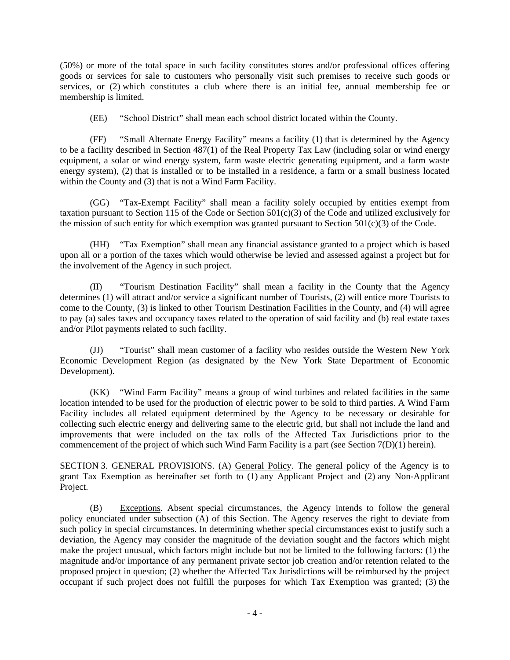(50%) or more of the total space in such facility constitutes stores and/or professional offices offering goods or services for sale to customers who personally visit such premises to receive such goods or services, or (2) which constitutes a club where there is an initial fee, annual membership fee or membership is limited.

(EE) "School District" shall mean each school district located within the County.

(FF) "Small Alternate Energy Facility" means a facility (1) that is determined by the Agency to be a facility described in Section 487(1) of the Real Property Tax Law (including solar or wind energy equipment, a solar or wind energy system, farm waste electric generating equipment, and a farm waste energy system), (2) that is installed or to be installed in a residence, a farm or a small business located within the County and (3) that is not a Wind Farm Facility.

(GG) "Tax-Exempt Facility" shall mean a facility solely occupied by entities exempt from taxation pursuant to Section 115 of the Code or Section 501(c)(3) of the Code and utilized exclusively for the mission of such entity for which exemption was granted pursuant to Section  $501(c)(3)$  of the Code.

(HH) "Tax Exemption" shall mean any financial assistance granted to a project which is based upon all or a portion of the taxes which would otherwise be levied and assessed against a project but for the involvement of the Agency in such project.

(II) "Tourism Destination Facility" shall mean a facility in the County that the Agency determines (1) will attract and/or service a significant number of Tourists, (2) will entice more Tourists to come to the County, (3) is linked to other Tourism Destination Facilities in the County, and (4) will agree to pay (a) sales taxes and occupancy taxes related to the operation of said facility and (b) real estate taxes and/or Pilot payments related to such facility.

(JJ) "Tourist" shall mean customer of a facility who resides outside the Western New York Economic Development Region (as designated by the New York State Department of Economic Development).

(KK) "Wind Farm Facility" means a group of wind turbines and related facilities in the same location intended to be used for the production of electric power to be sold to third parties. A Wind Farm Facility includes all related equipment determined by the Agency to be necessary or desirable for collecting such electric energy and delivering same to the electric grid, but shall not include the land and improvements that were included on the tax rolls of the Affected Tax Jurisdictions prior to the commencement of the project of which such Wind Farm Facility is a part (see Section  $7(D)(1)$  herein).

SECTION 3. GENERAL PROVISIONS. (A) General Policy. The general policy of the Agency is to grant Tax Exemption as hereinafter set forth to (1) any Applicant Project and (2) any Non-Applicant Project.

(B) Exceptions. Absent special circumstances, the Agency intends to follow the general policy enunciated under subsection (A) of this Section. The Agency reserves the right to deviate from such policy in special circumstances. In determining whether special circumstances exist to justify such a deviation, the Agency may consider the magnitude of the deviation sought and the factors which might make the project unusual, which factors might include but not be limited to the following factors: (1) the magnitude and/or importance of any permanent private sector job creation and/or retention related to the proposed project in question; (2) whether the Affected Tax Jurisdictions will be reimbursed by the project occupant if such project does not fulfill the purposes for which Tax Exemption was granted; (3) the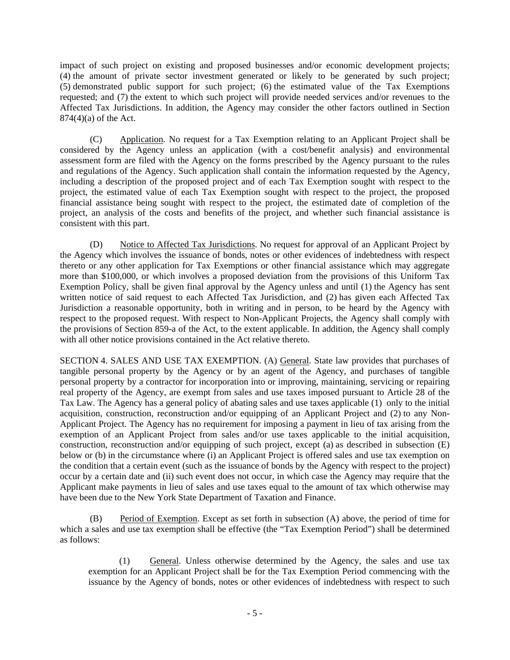impact of such project on existing and proposed businesses and/or economic development projects; (4) the amount of private sector investment generated or likely to be generated by such project; (5) demonstrated public support for such project; (6) the estimated value of the Tax Exemptions requested; and (7) the extent to which such project will provide needed services and/or revenues to the Affected Tax Jurisdictions. In addition, the Agency may consider the other factors outlined in Section 874(4)(a) of the Act.

(C) Application. No request for a Tax Exemption relating to an Applicant Project shall be considered by the Agency unless an application (with a cost/benefit analysis) and environmental assessment form are filed with the Agency on the forms prescribed by the Agency pursuant to the rules and regulations of the Agency. Such application shall contain the information requested by the Agency, including a description of the proposed project and of each Tax Exemption sought with respect to the project, the estimated value of each Tax Exemption sought with respect to the project, the proposed financial assistance being sought with respect to the project, the estimated date of completion of the project, an analysis of the costs and benefits of the project, and whether such financial assistance is consistent with this part.

(D) Notice to Affected Tax Jurisdictions. No request for approval of an Applicant Project by the Agency which involves the issuance of bonds, notes or other evidences of indebtedness with respect thereto or any other application for Tax Exemptions or other financial assistance which may aggregate more than \$100,000, or which involves a proposed deviation from the provisions of this Uniform Tax Exemption Policy, shall be given final approval by the Agency unless and until (1) the Agency has sent written notice of said request to each Affected Tax Jurisdiction, and (2) has given each Affected Tax Jurisdiction a reasonable opportunity, both in writing and in person, to be heard by the Agency with respect to the proposed request. With respect to Non-Applicant Projects, the Agency shall comply with the provisions of Section 859-a of the Act, to the extent applicable. In addition, the Agency shall comply with all other notice provisions contained in the Act relative thereto.

SECTION 4. SALES AND USE TAX EXEMPTION. (A) General. State law provides that purchases of tangible personal property by the Agency or by an agent of the Agency, and purchases of tangible personal property by a contractor for incorporation into or improving, maintaining, servicing or repairing real property of the Agency, are exempt from sales and use taxes imposed pursuant to Article 28 of the Tax Law. The Agency has a general policy of abating sales and use taxes applicable (1) only to the initial acquisition, construction, reconstruction and/or equipping of an Applicant Project and (2) to any Non-Applicant Project. The Agency has no requirement for imposing a payment in lieu of tax arising from the exemption of an Applicant Project from sales and/or use taxes applicable to the initial acquisition, construction, reconstruction and/or equipping of such project, except (a) as described in subsection (E) below or (b) in the circumstance where (i) an Applicant Project is offered sales and use tax exemption on the condition that a certain event (such as the issuance of bonds by the Agency with respect to the project) occur by a certain date and (ii) such event does not occur, in which case the Agency may require that the Applicant make payments in lieu of sales and use taxes equal to the amount of tax which otherwise may have been due to the New York State Department of Taxation and Finance.

(B) Period of Exemption. Except as set forth in subsection (A) above, the period of time for which a sales and use tax exemption shall be effective (the "Tax Exemption Period") shall be determined as follows:

(1) General. Unless otherwise determined by the Agency, the sales and use tax exemption for an Applicant Project shall be for the Tax Exemption Period commencing with the issuance by the Agency of bonds, notes or other evidences of indebtedness with respect to such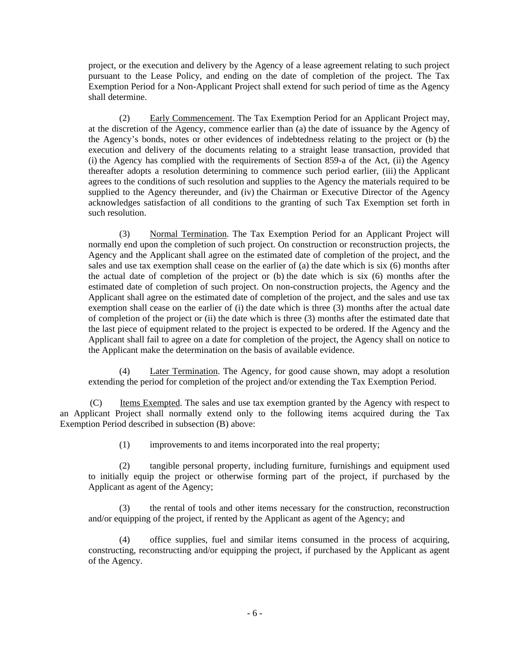project, or the execution and delivery by the Agency of a lease agreement relating to such project pursuant to the Lease Policy, and ending on the date of completion of the project. The Tax Exemption Period for a Non-Applicant Project shall extend for such period of time as the Agency shall determine.

(2) Early Commencement. The Tax Exemption Period for an Applicant Project may, at the discretion of the Agency, commence earlier than (a) the date of issuance by the Agency of the Agency's bonds, notes or other evidences of indebtedness relating to the project or (b) the execution and delivery of the documents relating to a straight lease transaction, provided that (i) the Agency has complied with the requirements of Section 859-a of the Act, (ii) the Agency thereafter adopts a resolution determining to commence such period earlier, (iii) the Applicant agrees to the conditions of such resolution and supplies to the Agency the materials required to be supplied to the Agency thereunder, and (iv) the Chairman or Executive Director of the Agency acknowledges satisfaction of all conditions to the granting of such Tax Exemption set forth in such resolution.

(3) Normal Termination. The Tax Exemption Period for an Applicant Project will normally end upon the completion of such project. On construction or reconstruction projects, the Agency and the Applicant shall agree on the estimated date of completion of the project, and the sales and use tax exemption shall cease on the earlier of (a) the date which is six (6) months after the actual date of completion of the project or (b) the date which is six (6) months after the estimated date of completion of such project. On non-construction projects, the Agency and the Applicant shall agree on the estimated date of completion of the project, and the sales and use tax exemption shall cease on the earlier of (i) the date which is three (3) months after the actual date of completion of the project or (ii) the date which is three (3) months after the estimated date that the last piece of equipment related to the project is expected to be ordered. If the Agency and the Applicant shall fail to agree on a date for completion of the project, the Agency shall on notice to the Applicant make the determination on the basis of available evidence.

(4) Later Termination. The Agency, for good cause shown, may adopt a resolution extending the period for completion of the project and/or extending the Tax Exemption Period.

(C) Items Exempted. The sales and use tax exemption granted by the Agency with respect to an Applicant Project shall normally extend only to the following items acquired during the Tax Exemption Period described in subsection (B) above:

(1) improvements to and items incorporated into the real property;

(2) tangible personal property, including furniture, furnishings and equipment used to initially equip the project or otherwise forming part of the project, if purchased by the Applicant as agent of the Agency;

(3) the rental of tools and other items necessary for the construction, reconstruction and/or equipping of the project, if rented by the Applicant as agent of the Agency; and

(4) office supplies, fuel and similar items consumed in the process of acquiring, constructing, reconstructing and/or equipping the project, if purchased by the Applicant as agent of the Agency.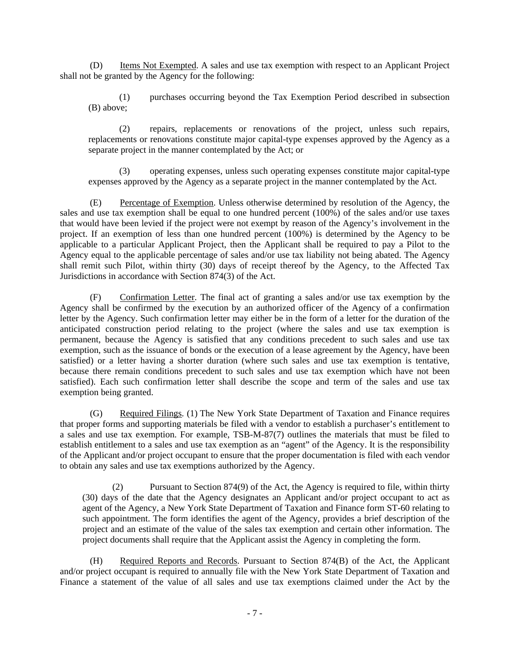(D) Items Not Exempted. A sales and use tax exemption with respect to an Applicant Project shall not be granted by the Agency for the following:

(1) purchases occurring beyond the Tax Exemption Period described in subsection (B) above;

(2) repairs, replacements or renovations of the project, unless such repairs, replacements or renovations constitute major capital-type expenses approved by the Agency as a separate project in the manner contemplated by the Act; or

(3) operating expenses, unless such operating expenses constitute major capital-type expenses approved by the Agency as a separate project in the manner contemplated by the Act.

(E) Percentage of Exemption. Unless otherwise determined by resolution of the Agency, the sales and use tax exemption shall be equal to one hundred percent (100%) of the sales and/or use taxes that would have been levied if the project were not exempt by reason of the Agency's involvement in the project. If an exemption of less than one hundred percent (100%) is determined by the Agency to be applicable to a particular Applicant Project, then the Applicant shall be required to pay a Pilot to the Agency equal to the applicable percentage of sales and/or use tax liability not being abated. The Agency shall remit such Pilot, within thirty (30) days of receipt thereof by the Agency, to the Affected Tax Jurisdictions in accordance with Section 874(3) of the Act.

(F) Confirmation Letter. The final act of granting a sales and/or use tax exemption by the Agency shall be confirmed by the execution by an authorized officer of the Agency of a confirmation letter by the Agency. Such confirmation letter may either be in the form of a letter for the duration of the anticipated construction period relating to the project (where the sales and use tax exemption is permanent, because the Agency is satisfied that any conditions precedent to such sales and use tax exemption, such as the issuance of bonds or the execution of a lease agreement by the Agency, have been satisfied) or a letter having a shorter duration (where such sales and use tax exemption is tentative, because there remain conditions precedent to such sales and use tax exemption which have not been satisfied). Each such confirmation letter shall describe the scope and term of the sales and use tax exemption being granted.

(G) Required Filings. (1) The New York State Department of Taxation and Finance requires that proper forms and supporting materials be filed with a vendor to establish a purchaser's entitlement to a sales and use tax exemption. For example, TSB-M-87(7) outlines the materials that must be filed to establish entitlement to a sales and use tax exemption as an "agent" of the Agency. It is the responsibility of the Applicant and/or project occupant to ensure that the proper documentation is filed with each vendor to obtain any sales and use tax exemptions authorized by the Agency.

(2) Pursuant to Section 874(9) of the Act, the Agency is required to file, within thirty (30) days of the date that the Agency designates an Applicant and/or project occupant to act as agent of the Agency, a New York State Department of Taxation and Finance form ST-60 relating to such appointment. The form identifies the agent of the Agency, provides a brief description of the project and an estimate of the value of the sales tax exemption and certain other information. The project documents shall require that the Applicant assist the Agency in completing the form.

(H) Required Reports and Records. Pursuant to Section 874(B) of the Act, the Applicant and/or project occupant is required to annually file with the New York State Department of Taxation and Finance a statement of the value of all sales and use tax exemptions claimed under the Act by the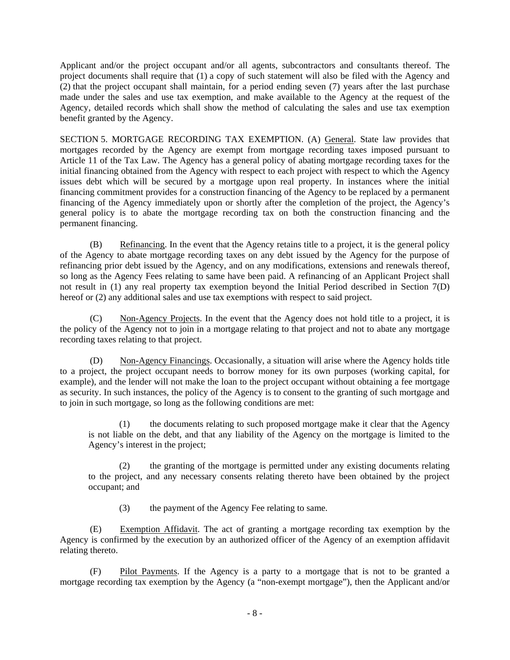Applicant and/or the project occupant and/or all agents, subcontractors and consultants thereof. The project documents shall require that (1) a copy of such statement will also be filed with the Agency and (2) that the project occupant shall maintain, for a period ending seven (7) years after the last purchase made under the sales and use tax exemption, and make available to the Agency at the request of the Agency, detailed records which shall show the method of calculating the sales and use tax exemption benefit granted by the Agency.

SECTION 5. MORTGAGE RECORDING TAX EXEMPTION. (A) General. State law provides that mortgages recorded by the Agency are exempt from mortgage recording taxes imposed pursuant to Article 11 of the Tax Law. The Agency has a general policy of abating mortgage recording taxes for the initial financing obtained from the Agency with respect to each project with respect to which the Agency issues debt which will be secured by a mortgage upon real property. In instances where the initial financing commitment provides for a construction financing of the Agency to be replaced by a permanent financing of the Agency immediately upon or shortly after the completion of the project, the Agency's general policy is to abate the mortgage recording tax on both the construction financing and the permanent financing.

(B) Refinancing. In the event that the Agency retains title to a project, it is the general policy of the Agency to abate mortgage recording taxes on any debt issued by the Agency for the purpose of refinancing prior debt issued by the Agency, and on any modifications, extensions and renewals thereof, so long as the Agency Fees relating to same have been paid. A refinancing of an Applicant Project shall not result in (1) any real property tax exemption beyond the Initial Period described in Section 7(D) hereof or (2) any additional sales and use tax exemptions with respect to said project.

(C) Non-Agency Projects. In the event that the Agency does not hold title to a project, it is the policy of the Agency not to join in a mortgage relating to that project and not to abate any mortgage recording taxes relating to that project.

(D) Non-Agency Financings. Occasionally, a situation will arise where the Agency holds title to a project, the project occupant needs to borrow money for its own purposes (working capital, for example), and the lender will not make the loan to the project occupant without obtaining a fee mortgage as security. In such instances, the policy of the Agency is to consent to the granting of such mortgage and to join in such mortgage, so long as the following conditions are met:

(1) the documents relating to such proposed mortgage make it clear that the Agency is not liable on the debt, and that any liability of the Agency on the mortgage is limited to the Agency's interest in the project;

(2) the granting of the mortgage is permitted under any existing documents relating to the project, and any necessary consents relating thereto have been obtained by the project occupant; and

(3) the payment of the Agency Fee relating to same.

(E) Exemption Affidavit. The act of granting a mortgage recording tax exemption by the Agency is confirmed by the execution by an authorized officer of the Agency of an exemption affidavit relating thereto.

(F) Pilot Payments. If the Agency is a party to a mortgage that is not to be granted a mortgage recording tax exemption by the Agency (a "non-exempt mortgage"), then the Applicant and/or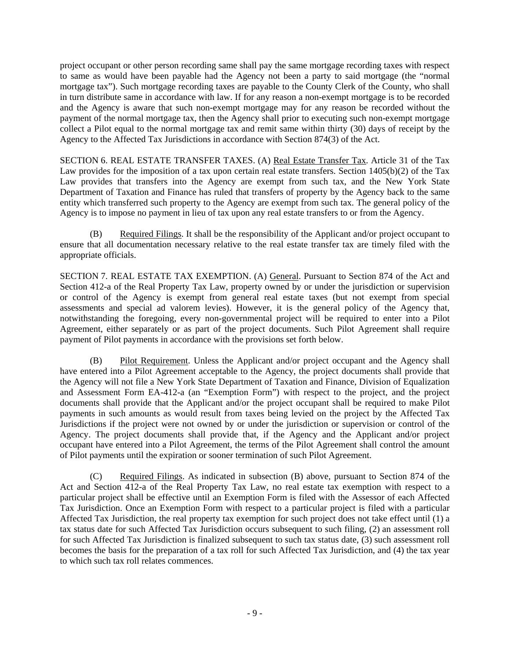project occupant or other person recording same shall pay the same mortgage recording taxes with respect to same as would have been payable had the Agency not been a party to said mortgage (the "normal mortgage tax"). Such mortgage recording taxes are payable to the County Clerk of the County, who shall in turn distribute same in accordance with law. If for any reason a non-exempt mortgage is to be recorded and the Agency is aware that such non-exempt mortgage may for any reason be recorded without the payment of the normal mortgage tax, then the Agency shall prior to executing such non-exempt mortgage collect a Pilot equal to the normal mortgage tax and remit same within thirty (30) days of receipt by the Agency to the Affected Tax Jurisdictions in accordance with Section 874(3) of the Act.

SECTION 6. REAL ESTATE TRANSFER TAXES. (A) Real Estate Transfer Tax. Article 31 of the Tax Law provides for the imposition of a tax upon certain real estate transfers. Section 1405(b)(2) of the Tax Law provides that transfers into the Agency are exempt from such tax, and the New York State Department of Taxation and Finance has ruled that transfers of property by the Agency back to the same entity which transferred such property to the Agency are exempt from such tax. The general policy of the Agency is to impose no payment in lieu of tax upon any real estate transfers to or from the Agency.

(B) Required Filings. It shall be the responsibility of the Applicant and/or project occupant to ensure that all documentation necessary relative to the real estate transfer tax are timely filed with the appropriate officials.

SECTION 7. REAL ESTATE TAX EXEMPTION. (A) General. Pursuant to Section 874 of the Act and Section 412-a of the Real Property Tax Law, property owned by or under the jurisdiction or supervision or control of the Agency is exempt from general real estate taxes (but not exempt from special assessments and special ad valorem levies). However, it is the general policy of the Agency that, notwithstanding the foregoing, every non-governmental project will be required to enter into a Pilot Agreement, either separately or as part of the project documents. Such Pilot Agreement shall require payment of Pilot payments in accordance with the provisions set forth below.

(B) Pilot Requirement. Unless the Applicant and/or project occupant and the Agency shall have entered into a Pilot Agreement acceptable to the Agency, the project documents shall provide that the Agency will not file a New York State Department of Taxation and Finance, Division of Equalization and Assessment Form EA-412-a (an "Exemption Form") with respect to the project, and the project documents shall provide that the Applicant and/or the project occupant shall be required to make Pilot payments in such amounts as would result from taxes being levied on the project by the Affected Tax Jurisdictions if the project were not owned by or under the jurisdiction or supervision or control of the Agency. The project documents shall provide that, if the Agency and the Applicant and/or project occupant have entered into a Pilot Agreement, the terms of the Pilot Agreement shall control the amount of Pilot payments until the expiration or sooner termination of such Pilot Agreement.

(C) Required Filings. As indicated in subsection (B) above, pursuant to Section 874 of the Act and Section 412-a of the Real Property Tax Law, no real estate tax exemption with respect to a particular project shall be effective until an Exemption Form is filed with the Assessor of each Affected Tax Jurisdiction. Once an Exemption Form with respect to a particular project is filed with a particular Affected Tax Jurisdiction, the real property tax exemption for such project does not take effect until (1) a tax status date for such Affected Tax Jurisdiction occurs subsequent to such filing, (2) an assessment roll for such Affected Tax Jurisdiction is finalized subsequent to such tax status date, (3) such assessment roll becomes the basis for the preparation of a tax roll for such Affected Tax Jurisdiction, and (4) the tax year to which such tax roll relates commences.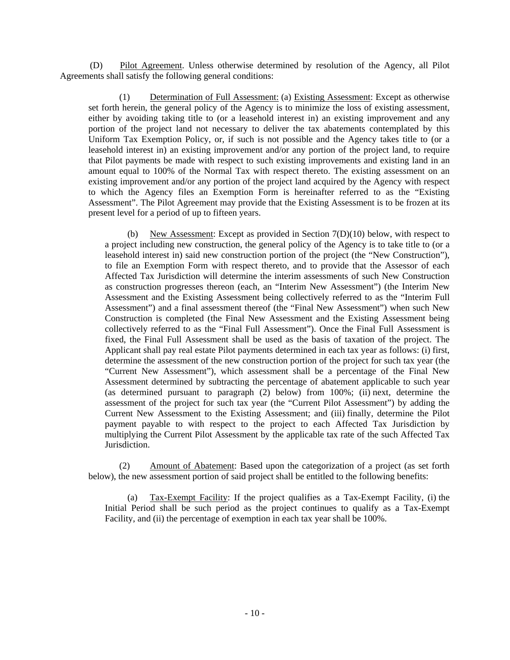(D) Pilot Agreement. Unless otherwise determined by resolution of the Agency, all Pilot Agreements shall satisfy the following general conditions:

(1) Determination of Full Assessment: (a) Existing Assessment: Except as otherwise set forth herein, the general policy of the Agency is to minimize the loss of existing assessment, either by avoiding taking title to (or a leasehold interest in) an existing improvement and any portion of the project land not necessary to deliver the tax abatements contemplated by this Uniform Tax Exemption Policy, or, if such is not possible and the Agency takes title to (or a leasehold interest in) an existing improvement and/or any portion of the project land, to require that Pilot payments be made with respect to such existing improvements and existing land in an amount equal to 100% of the Normal Tax with respect thereto. The existing assessment on an existing improvement and/or any portion of the project land acquired by the Agency with respect to which the Agency files an Exemption Form is hereinafter referred to as the "Existing Assessment". The Pilot Agreement may provide that the Existing Assessment is to be frozen at its present level for a period of up to fifteen years.

(b) New Assessment: Except as provided in Section 7(D)(10) below, with respect to a project including new construction, the general policy of the Agency is to take title to (or a leasehold interest in) said new construction portion of the project (the "New Construction"), to file an Exemption Form with respect thereto, and to provide that the Assessor of each Affected Tax Jurisdiction will determine the interim assessments of such New Construction as construction progresses thereon (each, an "Interim New Assessment") (the Interim New Assessment and the Existing Assessment being collectively referred to as the "Interim Full Assessment") and a final assessment thereof (the "Final New Assessment") when such New Construction is completed (the Final New Assessment and the Existing Assessment being collectively referred to as the "Final Full Assessment"). Once the Final Full Assessment is fixed, the Final Full Assessment shall be used as the basis of taxation of the project. The Applicant shall pay real estate Pilot payments determined in each tax year as follows: (i) first, determine the assessment of the new construction portion of the project for such tax year (the "Current New Assessment"), which assessment shall be a percentage of the Final New Assessment determined by subtracting the percentage of abatement applicable to such year (as determined pursuant to paragraph (2) below) from 100%; (ii) next, determine the assessment of the project for such tax year (the "Current Pilot Assessment") by adding the Current New Assessment to the Existing Assessment; and (iii) finally, determine the Pilot payment payable to with respect to the project to each Affected Tax Jurisdiction by multiplying the Current Pilot Assessment by the applicable tax rate of the such Affected Tax Jurisdiction.

(2) Amount of Abatement: Based upon the categorization of a project (as set forth below), the new assessment portion of said project shall be entitled to the following benefits:

(a) Tax-Exempt Facility: If the project qualifies as a Tax-Exempt Facility, (i) the Initial Period shall be such period as the project continues to qualify as a Tax-Exempt Facility, and (ii) the percentage of exemption in each tax year shall be 100%.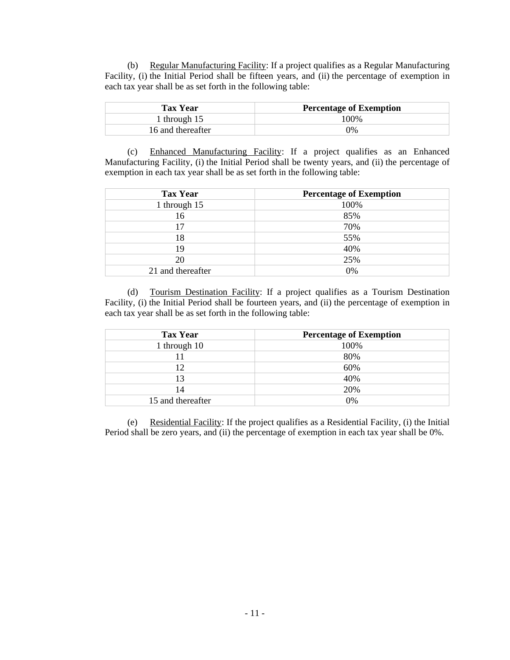(b) Regular Manufacturing Facility: If a project qualifies as a Regular Manufacturing Facility, (i) the Initial Period shall be fifteen years, and (ii) the percentage of exemption in each tax year shall be as set forth in the following table:

| <b>Tax Year</b>   | <b>Percentage of Exemption</b> |
|-------------------|--------------------------------|
| 1 through $15$    | 100\%                          |
| 16 and thereafter | 7%                             |

(c) Enhanced Manufacturing Facility: If a project qualifies as an Enhanced Manufacturing Facility, (i) the Initial Period shall be twenty years, and (ii) the percentage of exemption in each tax year shall be as set forth in the following table:

| <b>Tax Year</b>   | <b>Percentage of Exemption</b> |
|-------------------|--------------------------------|
| 1 through 15      | 100%                           |
| 16                | 85%                            |
| 17                | 70%                            |
| 18                | 55%                            |
| 19                | 40%                            |
| 20                | 25%                            |
| 21 and thereafter | 0%                             |

(d) Tourism Destination Facility: If a project qualifies as a Tourism Destination Facility, (i) the Initial Period shall be fourteen years, and (ii) the percentage of exemption in each tax year shall be as set forth in the following table:

| <b>Tax Year</b>   | <b>Percentage of Exemption</b> |
|-------------------|--------------------------------|
| 1 through 10      | 100%                           |
|                   | 80%                            |
| 12                | 60%                            |
| 13                | 40%                            |
| 14                | 20%                            |
| 15 and thereafter | 0%                             |

(e) Residential Facility: If the project qualifies as a Residential Facility, (i) the Initial Period shall be zero years, and (ii) the percentage of exemption in each tax year shall be 0%.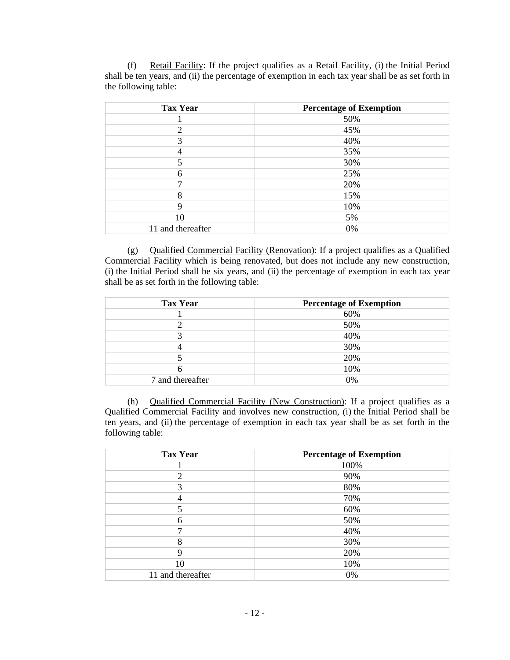| <b>Tax Year</b>             | <b>Percentage of Exemption</b> |
|-----------------------------|--------------------------------|
|                             | 50%                            |
| $\mathcal{D}_{\mathcal{L}}$ | 45%                            |
| 3                           | 40%                            |
| 4                           | 35%                            |
|                             | 30%                            |
| 6                           | 25%                            |
|                             | 20%                            |
| 8                           | 15%                            |
| 9                           | 10%                            |
| 10                          | 5%                             |
| 11 and thereafter           | 0%                             |

(f) Retail Facility: If the project qualifies as a Retail Facility, (i) the Initial Period shall be ten years, and (ii) the percentage of exemption in each tax year shall be as set forth in the following table:

(g) Qualified Commercial Facility (Renovation): If a project qualifies as a Qualified Commercial Facility which is being renovated, but does not include any new construction, (i) the Initial Period shall be six years, and (ii) the percentage of exemption in each tax year shall be as set forth in the following table:

| <b>Tax Year</b>  | <b>Percentage of Exemption</b> |
|------------------|--------------------------------|
|                  | 60%                            |
|                  | 50%                            |
|                  | 40%                            |
|                  | 30%                            |
|                  | 20%                            |
|                  | 10%                            |
| 7 and thereafter | 0%                             |

(h) Qualified Commercial Facility (New Construction): If a project qualifies as a Qualified Commercial Facility and involves new construction, (i) the Initial Period shall be ten years, and (ii) the percentage of exemption in each tax year shall be as set forth in the following table:

| <b>Tax Year</b>   | <b>Percentage of Exemption</b> |
|-------------------|--------------------------------|
|                   | 100%                           |
| $\mathfrak{D}$    | 90%                            |
| 3                 | 80%                            |
|                   | 70%                            |
| 5                 | 60%                            |
| 6                 | 50%                            |
| ⇁                 | 40%                            |
| 8                 | 30%                            |
| 9                 | 20%                            |
| 10                | 10%                            |
| 11 and thereafter | 0%                             |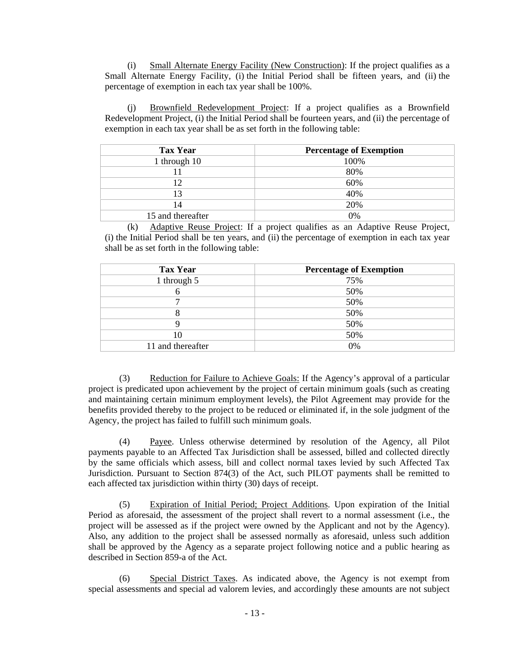(i) Small Alternate Energy Facility (New Construction): If the project qualifies as a Small Alternate Energy Facility, (i) the Initial Period shall be fifteen years, and (ii) the percentage of exemption in each tax year shall be 100%.

(j) Brownfield Redevelopment Project: If a project qualifies as a Brownfield Redevelopment Project, (i) the Initial Period shall be fourteen years, and (ii) the percentage of exemption in each tax year shall be as set forth in the following table:

| <b>Tax Year</b>   | <b>Percentage of Exemption</b> |
|-------------------|--------------------------------|
| 1 through 10      | 100%                           |
|                   | 80%                            |
| 12                | 60%                            |
| 13                | 40%                            |
| 14                | 20%                            |
| 15 and thereafter | 0%                             |

(k) Adaptive Reuse Project: If a project qualifies as an Adaptive Reuse Project, (i) the Initial Period shall be ten years, and (ii) the percentage of exemption in each tax year shall be as set forth in the following table:

| <b>Tax Year</b>   | <b>Percentage of Exemption</b> |
|-------------------|--------------------------------|
| 1 through 5       | 75%                            |
|                   | 50%                            |
|                   | 50%                            |
|                   | 50%                            |
|                   | 50%                            |
| 10                | 50%                            |
| 11 and thereafter | 0%                             |

(3) Reduction for Failure to Achieve Goals: If the Agency's approval of a particular project is predicated upon achievement by the project of certain minimum goals (such as creating and maintaining certain minimum employment levels), the Pilot Agreement may provide for the benefits provided thereby to the project to be reduced or eliminated if, in the sole judgment of the Agency, the project has failed to fulfill such minimum goals.

(4) Payee. Unless otherwise determined by resolution of the Agency, all Pilot payments payable to an Affected Tax Jurisdiction shall be assessed, billed and collected directly by the same officials which assess, bill and collect normal taxes levied by such Affected Tax Jurisdiction. Pursuant to Section 874(3) of the Act, such PILOT payments shall be remitted to each affected tax jurisdiction within thirty (30) days of receipt.

(5) Expiration of Initial Period; Project Additions. Upon expiration of the Initial Period as aforesaid, the assessment of the project shall revert to a normal assessment (i.e., the project will be assessed as if the project were owned by the Applicant and not by the Agency). Also, any addition to the project shall be assessed normally as aforesaid, unless such addition shall be approved by the Agency as a separate project following notice and a public hearing as described in Section 859-a of the Act.

(6) Special District Taxes. As indicated above, the Agency is not exempt from special assessments and special ad valorem levies, and accordingly these amounts are not subject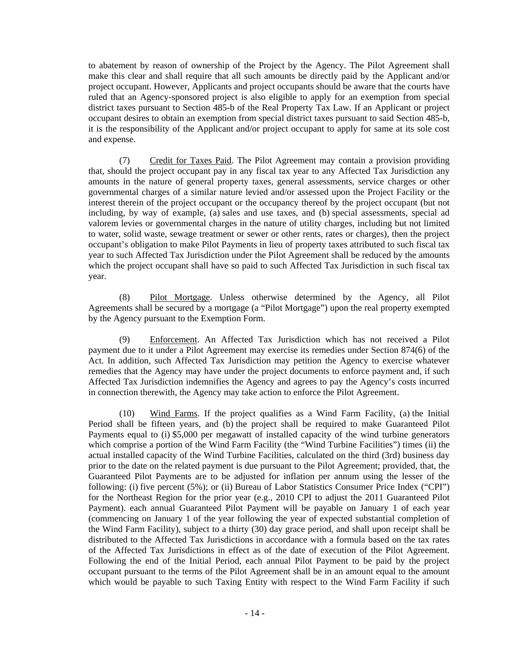to abatement by reason of ownership of the Project by the Agency. The Pilot Agreement shall make this clear and shall require that all such amounts be directly paid by the Applicant and/or project occupant. However, Applicants and project occupants should be aware that the courts have ruled that an Agency-sponsored project is also eligible to apply for an exemption from special district taxes pursuant to Section 485-b of the Real Property Tax Law. If an Applicant or project occupant desires to obtain an exemption from special district taxes pursuant to said Section 485-b, it is the responsibility of the Applicant and/or project occupant to apply for same at its sole cost and expense.

(7) Credit for Taxes Paid. The Pilot Agreement may contain a provision providing that, should the project occupant pay in any fiscal tax year to any Affected Tax Jurisdiction any amounts in the nature of general property taxes, general assessments, service charges or other governmental charges of a similar nature levied and/or assessed upon the Project Facility or the interest therein of the project occupant or the occupancy thereof by the project occupant (but not including, by way of example, (a) sales and use taxes, and (b) special assessments, special ad valorem levies or governmental charges in the nature of utility charges, including but not limited to water, solid waste, sewage treatment or sewer or other rents, rates or charges), then the project occupant's obligation to make Pilot Payments in lieu of property taxes attributed to such fiscal tax year to such Affected Tax Jurisdiction under the Pilot Agreement shall be reduced by the amounts which the project occupant shall have so paid to such Affected Tax Jurisdiction in such fiscal tax year.

(8) Pilot Mortgage. Unless otherwise determined by the Agency, all Pilot Agreements shall be secured by a mortgage (a "Pilot Mortgage") upon the real property exempted by the Agency pursuant to the Exemption Form.

(9) Enforcement. An Affected Tax Jurisdiction which has not received a Pilot payment due to it under a Pilot Agreement may exercise its remedies under Section 874(6) of the Act. In addition, such Affected Tax Jurisdiction may petition the Agency to exercise whatever remedies that the Agency may have under the project documents to enforce payment and, if such Affected Tax Jurisdiction indemnifies the Agency and agrees to pay the Agency's costs incurred in connection therewith, the Agency may take action to enforce the Pilot Agreement.

(10) Wind Farms. If the project qualifies as a Wind Farm Facility, (a) the Initial Period shall be fifteen years, and (b) the project shall be required to make Guaranteed Pilot Payments equal to (i) \$5,000 per megawatt of installed capacity of the wind turbine generators which comprise a portion of the Wind Farm Facility (the "Wind Turbine Facilities") times (ii) the actual installed capacity of the Wind Turbine Facilities, calculated on the third (3rd) business day prior to the date on the related payment is due pursuant to the Pilot Agreement; provided, that, the Guaranteed Pilot Payments are to be adjusted for inflation per annum using the lesser of the following: (i) five percent (5%); or (ii) Bureau of Labor Statistics Consumer Price Index ("CPI") for the Northeast Region for the prior year (e.g., 2010 CPI to adjust the 2011 Guaranteed Pilot Payment). each annual Guaranteed Pilot Payment will be payable on January 1 of each year (commencing on January 1 of the year following the year of expected substantial completion of the Wind Farm Facility), subject to a thirty (30) day grace period, and shall upon receipt shall be distributed to the Affected Tax Jurisdictions in accordance with a formula based on the tax rates of the Affected Tax Jurisdictions in effect as of the date of execution of the Pilot Agreement. Following the end of the Initial Period, each annual Pilot Payment to be paid by the project occupant pursuant to the terms of the Pilot Agreement shall be in an amount equal to the amount which would be payable to such Taxing Entity with respect to the Wind Farm Facility if such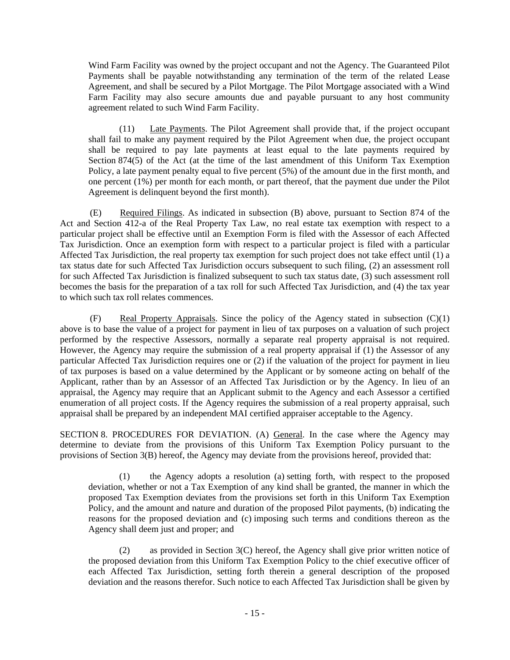Wind Farm Facility was owned by the project occupant and not the Agency. The Guaranteed Pilot Payments shall be payable notwithstanding any termination of the term of the related Lease Agreement, and shall be secured by a Pilot Mortgage. The Pilot Mortgage associated with a Wind Farm Facility may also secure amounts due and payable pursuant to any host community agreement related to such Wind Farm Facility.

(11) Late Payments. The Pilot Agreement shall provide that, if the project occupant shall fail to make any payment required by the Pilot Agreement when due, the project occupant shall be required to pay late payments at least equal to the late payments required by Section 874(5) of the Act (at the time of the last amendment of this Uniform Tax Exemption Policy, a late payment penalty equal to five percent (5%) of the amount due in the first month, and one percent (1%) per month for each month, or part thereof, that the payment due under the Pilot Agreement is delinquent beyond the first month).

(E) Required Filings. As indicated in subsection (B) above, pursuant to Section 874 of the Act and Section 412-a of the Real Property Tax Law, no real estate tax exemption with respect to a particular project shall be effective until an Exemption Form is filed with the Assessor of each Affected Tax Jurisdiction. Once an exemption form with respect to a particular project is filed with a particular Affected Tax Jurisdiction, the real property tax exemption for such project does not take effect until (1) a tax status date for such Affected Tax Jurisdiction occurs subsequent to such filing, (2) an assessment roll for such Affected Tax Jurisdiction is finalized subsequent to such tax status date, (3) such assessment roll becomes the basis for the preparation of a tax roll for such Affected Tax Jurisdiction, and (4) the tax year to which such tax roll relates commences.

(F) Real Property Appraisals. Since the policy of the Agency stated in subsection (C)(1) above is to base the value of a project for payment in lieu of tax purposes on a valuation of such project performed by the respective Assessors, normally a separate real property appraisal is not required. However, the Agency may require the submission of a real property appraisal if (1) the Assessor of any particular Affected Tax Jurisdiction requires one or (2) if the valuation of the project for payment in lieu of tax purposes is based on a value determined by the Applicant or by someone acting on behalf of the Applicant, rather than by an Assessor of an Affected Tax Jurisdiction or by the Agency. In lieu of an appraisal, the Agency may require that an Applicant submit to the Agency and each Assessor a certified enumeration of all project costs. If the Agency requires the submission of a real property appraisal, such appraisal shall be prepared by an independent MAI certified appraiser acceptable to the Agency.

SECTION 8. PROCEDURES FOR DEVIATION. (A) General. In the case where the Agency may determine to deviate from the provisions of this Uniform Tax Exemption Policy pursuant to the provisions of Section 3(B) hereof, the Agency may deviate from the provisions hereof, provided that:

(1) the Agency adopts a resolution (a) setting forth, with respect to the proposed deviation, whether or not a Tax Exemption of any kind shall be granted, the manner in which the proposed Tax Exemption deviates from the provisions set forth in this Uniform Tax Exemption Policy, and the amount and nature and duration of the proposed Pilot payments, (b) indicating the reasons for the proposed deviation and (c) imposing such terms and conditions thereon as the Agency shall deem just and proper; and

(2) as provided in Section 3(C) hereof, the Agency shall give prior written notice of the proposed deviation from this Uniform Tax Exemption Policy to the chief executive officer of each Affected Tax Jurisdiction, setting forth therein a general description of the proposed deviation and the reasons therefor. Such notice to each Affected Tax Jurisdiction shall be given by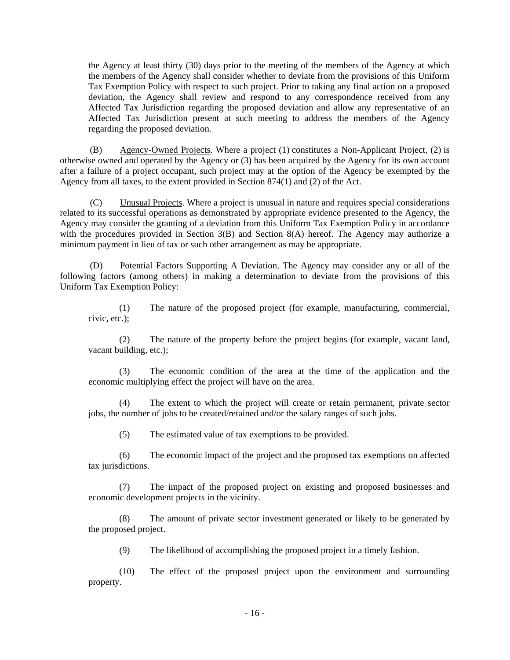the Agency at least thirty (30) days prior to the meeting of the members of the Agency at which the members of the Agency shall consider whether to deviate from the provisions of this Uniform Tax Exemption Policy with respect to such project. Prior to taking any final action on a proposed deviation, the Agency shall review and respond to any correspondence received from any Affected Tax Jurisdiction regarding the proposed deviation and allow any representative of an Affected Tax Jurisdiction present at such meeting to address the members of the Agency regarding the proposed deviation.

(B) Agency-Owned Projects. Where a project (1) constitutes a Non-Applicant Project, (2) is otherwise owned and operated by the Agency or (3) has been acquired by the Agency for its own account after a failure of a project occupant, such project may at the option of the Agency be exempted by the Agency from all taxes, to the extent provided in Section 874(1) and (2) of the Act.

(C) Unusual Projects. Where a project is unusual in nature and requires special considerations related to its successful operations as demonstrated by appropriate evidence presented to the Agency, the Agency may consider the granting of a deviation from this Uniform Tax Exemption Policy in accordance with the procedures provided in Section 3(B) and Section 8(A) hereof. The Agency may authorize a minimum payment in lieu of tax or such other arrangement as may be appropriate.

(D) Potential Factors Supporting A Deviation. The Agency may consider any or all of the following factors (among others) in making a determination to deviate from the provisions of this Uniform Tax Exemption Policy:

(1) The nature of the proposed project (for example, manufacturing, commercial, civic, etc.);

(2) The nature of the property before the project begins (for example, vacant land, vacant building, etc.);

(3) The economic condition of the area at the time of the application and the economic multiplying effect the project will have on the area.

The extent to which the project will create or retain permanent, private sector jobs, the number of jobs to be created/retained and/or the salary ranges of such jobs.

(5) The estimated value of tax exemptions to be provided.

(6) The economic impact of the project and the proposed tax exemptions on affected tax jurisdictions.

(7) The impact of the proposed project on existing and proposed businesses and economic development projects in the vicinity.

(8) The amount of private sector investment generated or likely to be generated by the proposed project.

(9) The likelihood of accomplishing the proposed project in a timely fashion.

(10) The effect of the proposed project upon the environment and surrounding property.